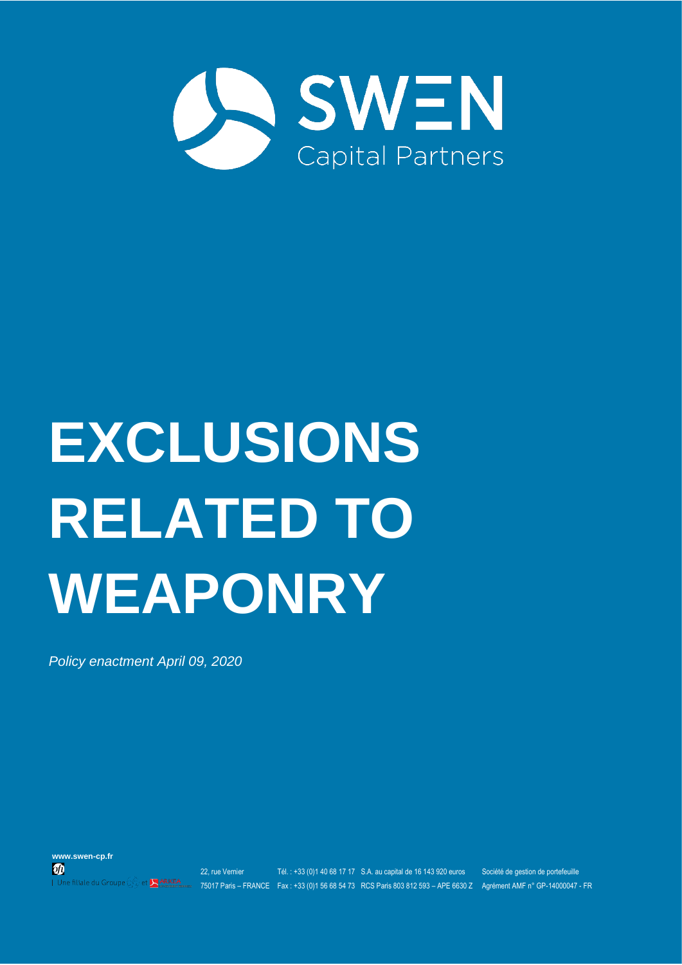

# **EXCLUSIONS RELATED TO WEAPONRY**

*Policy enactment April 09, 2020*

**www.swen-cp.fr**  $\boldsymbol{\boldsymbol{\theta}}$ Une filiale du Groupe

et **ARKEA** 

22, rue Vernier Tél. : +33 (0)1 40 68 17 17 S.A. au capital de 16 143 920 euros Société de gestion de portefeuille 75017 Paris – FRANCE Fax : +33 (0)1 56 68 54 73 RCS Paris 803 812 593 – APE 6630 Z Agrément AMF n° GP-14000047 - FR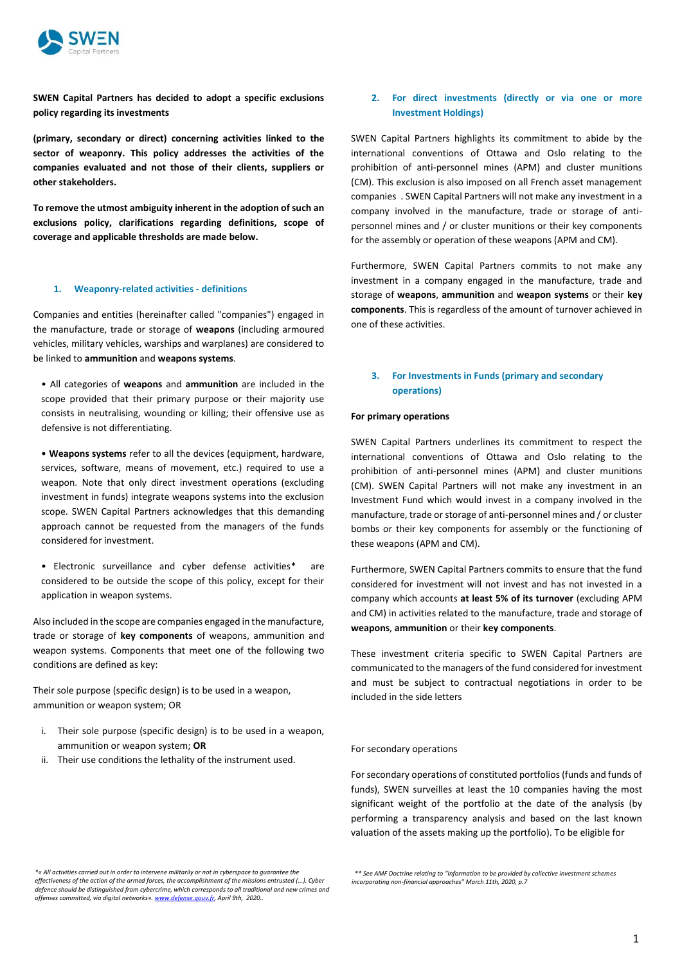

**SWEN Capital Partners has decided to adopt a specific exclusions policy regarding its investments** 

**(primary, secondary or direct) concerning activities linked to the sector of weaponry. This policy addresses the activities of the companies evaluated and not those of their clients, suppliers or other stakeholders.**

**To remove the utmost ambiguity inherent in the adoption of such an exclusions policy, clarifications regarding definitions, scope of coverage and applicable thresholds are made below.**

#### **1. Weaponry-related activities - definitions**

Companies and entities (hereinafter called "companies") engaged in the manufacture, trade or storage of **weapons** (including armoured vehicles, military vehicles, warships and warplanes) are considered to be linked to **ammunition** and **weapons systems**.

• All categories of **weapons** and **ammunition** are included in the scope provided that their primary purpose or their majority use consists in neutralising, wounding or killing; their offensive use as defensive is not differentiating.

• **Weapons systems** refer to all the devices (equipment, hardware, services, software, means of movement, etc.) required to use a weapon. Note that only direct investment operations (excluding investment in funds) integrate weapons systems into the exclusion scope. SWEN Capital Partners acknowledges that this demanding approach cannot be requested from the managers of the funds considered for investment.

• Electronic surveillance and cyber defense activities\* are considered to be outside the scope of this policy, except for their application in weapon systems.

Also included in the scope are companies engaged in the manufacture, trade or storage of **key components** of weapons, ammunition and weapon systems. Components that meet one of the following two conditions are defined as key:

Their sole purpose (specific design) is to be used in a weapon, ammunition or weapon system; OR

- i. Their sole purpose (specific design) is to be used in a weapon, ammunition or weapon system; **OR**
- ii. Their use conditions the lethality of the instrument used.

# **2. For direct investments (directly or via one or more Investment Holdings)**

SWEN Capital Partners highlights its commitment to abide by the international conventions of Ottawa and Oslo relating to the prohibition of anti-personnel mines (APM) and cluster munitions (CM). This exclusion is also imposed on all French asset management companies . SWEN Capital Partners will not make any investment in a company involved in the manufacture, trade or storage of antipersonnel mines and / or cluster munitions or their key components for the assembly or operation of these weapons (APM and CM).

Furthermore, SWEN Capital Partners commits to not make any investment in a company engaged in the manufacture, trade and storage of **weapons**, **ammunition** and **weapon systems** or their **key components**. This is regardless of the amount of turnover achieved in one of these activities.

## **3. For Investments in Funds (primary and secondary operations)**

#### **For primary operations**

SWEN Capital Partners underlines its commitment to respect the international conventions of Ottawa and Oslo relating to the prohibition of anti-personnel mines (APM) and cluster munitions (CM). SWEN Capital Partners will not make any investment in an Investment Fund which would invest in a company involved in the manufacture, trade or storage of anti-personnel mines and / or cluster bombs or their key components for assembly or the functioning of these weapons (APM and CM).

Furthermore, SWEN Capital Partners commits to ensure that the fund considered for investment will not invest and has not invested in a company which accounts **at least 5% of its turnover** (excluding APM and CM) in activities related to the manufacture, trade and storage of **weapons**, **ammunition** or their **key components**.

These investment criteria specific to SWEN Capital Partners are communicated to the managers of the fund considered for investment and must be subject to contractual negotiations in order to be included in the side letters

#### For secondary operations

For secondary operations of constituted portfolios (funds and funds of funds), SWEN surveilles at least the 10 companies having the most significant weight of the portfolio at the date of the analysis (by performing a transparency analysis and based on the last known valuation of the assets making up the portfolio). To be eligible for

*\*« All activities carried out in order to intervene militarily or not in cyberspace to guarantee the effectiveness of the action of the armed forces, the accomplishment of the missions entrusted (...). Cyber defence should be distinguished from cybercrime, which corresponds to all traditional and new crimes and offenses committed, via digital networks»[. www.defense.gouv.fr,](https://www.defense.gouv.fr/portail/enjeux2/la-cyberdefense/la-cyberdefense/presentation) April 9th, 2020..*

 *<sup>\*\*</sup> See AMF Doctrine relating to "Information to be provided by collective investment schemes incorporating non-financial approaches" March 11th, 2020, p.7*